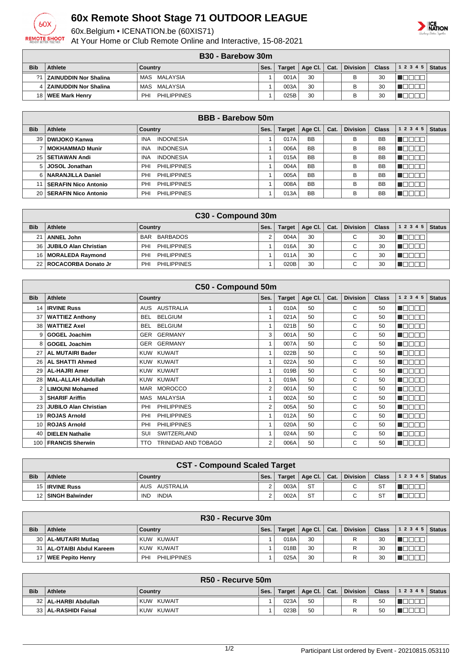

## **60x Remote Shoot Stage 71 OUTDOOR LEAGUE**

60x.Belgium • ICENATION.be (60XIS71)

At Your Home or Club Remote Online and Interactive, 15-08-2021

## **ICE**<br>NATION

| B <sub>30</sub> - Barebow 30m |  |
|-------------------------------|--|
|                               |  |

|            | <br>PUIVDUN JUIH          |                           |      |        |                |  |                 |       |       |        |  |  |
|------------|---------------------------|---------------------------|------|--------|----------------|--|-----------------|-------|-------|--------|--|--|
| <b>Bib</b> | <b>Athlete</b>            | <b>Country</b>            | Ses. | Target | Age Cl.   Cat. |  | <b>Division</b> | Class | 12345 | Status |  |  |
| $\Omega$   | I   ZAINUDDIN Nor Shalina | MAS MALAYSIA              |      | 001A   | 30             |  | D               | 30    |       |        |  |  |
|            | 4 ZAINUDDIN Nor Shalina   | MAS MALAYSIA              |      | 003A   | 30             |  |                 | 30    |       |        |  |  |
|            | 18   WEE Mark Henry       | <b>PHILIPPINES</b><br>PH. |      | 025B   | 30             |  |                 | 30    |       |        |  |  |

| <b>BBB</b> - Barebow 50m |                           |                                |      |               |           |      |                 |              |                  |               |  |
|--------------------------|---------------------------|--------------------------------|------|---------------|-----------|------|-----------------|--------------|------------------|---------------|--|
| <b>Bib</b>               | Athlete                   | Country                        | Ses. | <b>Target</b> | Age CI.   | Cat. | <b>Division</b> | <b>Class</b> | 1 2 3 4 5        | <b>Status</b> |  |
| 39                       | DWIJOKO Kanwa             | <b>INA</b><br><b>INDONESIA</b> |      | 017A          | <b>BB</b> |      | B               | <b>BB</b>    | חרור             |               |  |
|                          | <b>MOKHAMMAD Munir</b>    | <b>INDONESIA</b><br><b>INA</b> |      | 006A          | <b>BB</b> |      | В               | BB           | חרור             |               |  |
|                          | 25   SETIAWAN Andi        | <b>INDONESIA</b><br><b>INA</b> |      | 015A          | <b>BB</b> |      | B               | <b>BB</b>    | TNN              |               |  |
| 5 I                      | <b>JOSOL Jonathan</b>     | <b>PHILIPPINES</b><br>PHI      |      | 004A          | <b>BB</b> |      | B               | <b>BB</b>    | $\neg \Box \Box$ |               |  |
|                          | NARANJILLA Daniel         | <b>PHILIPPINES</b><br>PHI      |      | 005A          | <b>BB</b> |      | B               | <b>BB</b>    | חרור             |               |  |
|                          | SERAFIN Nico Antonio      | <b>PHILIPPINES</b><br>PHI      |      | 008A          | <b>BB</b> |      | B               | <b>BB</b>    | TEEEE            |               |  |
|                          | 20   SERAFIN Nico Antonio | <b>PHILIPPINES</b><br>PHI      |      | 013A          | <b>BB</b> |      | B               | <b>BB</b>    |                  |               |  |

|            | C30 - Compound 30m           |                        |      |               |         |      |                 |              |       |               |  |  |
|------------|------------------------------|------------------------|------|---------------|---------|------|-----------------|--------------|-------|---------------|--|--|
| <b>Bib</b> | Athlete                      | Country                | Ses. | <b>Target</b> | Age Cl. | Cat. | <b>Division</b> | <b>Class</b> | 12345 | <b>Status</b> |  |  |
| 21         | <b>ANNEL John</b>            | BARBADOS<br><b>BAR</b> |      | 004A          | 30      |      | $\sim$          | 30           |       |               |  |  |
| 36 l       | <b>JUBILO Alan Christian</b> | PHILIPPINES<br>PHI     |      | 016A          | 30      |      | ⌒               | 30           |       |               |  |  |
|            | 16   MORALEDA Raymond        | PHILIPPINES<br>PHI     |      | 011A          | 30      |      | ⌒               | 30           |       |               |  |  |
|            | 22 ROCACORBA Donato Jr       | PHILIPPINES<br>PHI     |      | 020B          | 30      |      | ⌒               | 30           |       |               |  |  |

| C50 - Compound 50m |                              |                                   |                |               |         |      |                 |              |                                      |               |  |  |
|--------------------|------------------------------|-----------------------------------|----------------|---------------|---------|------|-----------------|--------------|--------------------------------------|---------------|--|--|
| <b>Bib</b>         | <b>Athlete</b>               | <b>Country</b>                    | Ses.           | <b>Target</b> | Age CI. | Cat. | <b>Division</b> | <b>Class</b> | 1 2 3 4 5                            | <b>Status</b> |  |  |
| 14                 | <b>IRVINE Russ</b>           | <b>AUSTRALIA</b><br><b>AUS</b>    | 1              | 010A          | 50      |      | C               | 50           | a se s<br>ПП                         |               |  |  |
| 37                 | <b>WATTIEZ Anthony</b>       | <b>BELGIUM</b><br>BEL.            | 1              | 021A          | 50      |      | C               | 50           | T FIF<br>$\Box\Box\Box$              |               |  |  |
| 38                 | <b>WATTIEZ Axel</b>          | <b>BELGIUM</b><br>BEL.            | 1              | 021B          | 50      |      | C               | 50           | TN.<br>ПП<br>┓                       |               |  |  |
| 9                  | <b>GOGEL Joachim</b>         | <b>GERMANY</b><br>GER             | 3              | 001A          | 50      |      | C               | 50           | $\blacksquare\Box$<br>┱<br>┓         |               |  |  |
| 8                  | <b>GOGEL Joachim</b>         | <b>GERMANY</b><br>GER             | 1              | 007A          | 50      |      | C               | 50           | TN.<br>ПП<br>┓                       |               |  |  |
| 27                 | <b>AL MUTAIRI Bader</b>      | KUW KUWAIT                        | 1              | 022B          | 50      |      | C               | 50           | ПП<br>U FIL<br>⊐r                    |               |  |  |
| 26                 | <b>AL SHATTI Ahmed</b>       | KUW KUWAIT                        | 1              | 022A          | 50      |      | C               | 50           | $\blacksquare\blacksquare$<br>┓<br>┓ |               |  |  |
| 29                 | <b>AL-HAJRI Amer</b>         | KUW KUWAIT                        | 1              | 019B          | 50      |      | C               | 50           | $\blacksquare\Box$<br>┓<br>┓         |               |  |  |
| 28                 | <b>MAL-ALLAH Abdullah</b>    | KUW KUWAIT                        | 1              | 019A          | 50      |      | C               | 50           | N E E E                              |               |  |  |
|                    | <b>LIMOUNI Mohamed</b>       | <b>MOROCCO</b><br>MAR             | $\overline{2}$ | 001A          | 50      |      | C               | 50           | n dia am                             |               |  |  |
|                    | <b>SHARIF Ariffin</b>        | MALAYSIA<br>MAS                   | 1              | 002A          | 50      |      | C               | 50           | NG BERT                              |               |  |  |
| 23                 | <b>JUBILO Alan Christian</b> | <b>PHILIPPINES</b><br>PHI         | 2              | 005A          | 50      |      | C               | 50           | TE ET<br>Пſ                          |               |  |  |
| 19                 | <b>ROJAS Arnold</b>          | PHI<br><b>PHILIPPINES</b>         | 1              | 012A          | 50      |      | C               | 50           | N N N N N                            |               |  |  |
| 10 <sup>1</sup>    | <b>ROJAS Arnold</b>          | <b>PHILIPPINES</b><br>PHI         | 1              | 020A          | 50      |      | C               | 50           | n dia ala                            |               |  |  |
| 40                 | <b>DIELEN Nathalie</b>       | SWITZERLAND<br>SUI                | 1              | 024A          | 50      |      | C               | 50           | n oo oo                              |               |  |  |
| 100 <sup>1</sup>   | <b>FRANCIS Sherwin</b>       | TRINIDAD AND TOBAGO<br><b>TTO</b> | 2              | 006A          | 50      |      | C               | 50           | $\Box$ (<br>$\Box$<br>70 C           |               |  |  |

|            | <b>CST - Compound Scaled Target</b> |                            |      |        |                |  |          |              |                  |  |  |
|------------|-------------------------------------|----------------------------|------|--------|----------------|--|----------|--------------|------------------|--|--|
| <b>Bib</b> | <b>Athlete</b>                      | Country                    | Ses. | Target | Age Cl.   Cat. |  | Division | <b>Class</b> | $ 12345 $ Status |  |  |
|            | 15   IRVINE Russ                    | AUS AUSTRALIA              |      | 003A   | <b>ST</b>      |  | $\sim$   | ST           |                  |  |  |
|            | 12   SINGH Balwinder                | <b>INDIA</b><br><b>IND</b> |      | 002A   | <b>ST</b>      |  | $\sim$   | $\circ$      |                  |  |  |

|            | R30 - Recurve 30m           |                           |      |        |              |  |                 |              |       |               |  |  |
|------------|-----------------------------|---------------------------|------|--------|--------------|--|-----------------|--------------|-------|---------------|--|--|
| <b>Bib</b> | Athlete                     | Country                   | Ses. | Target | Age Cl. Cat. |  | <b>Division</b> | <b>Class</b> | 12345 | <b>Status</b> |  |  |
|            | 30   AL-MUTAIRI Mutlag      | KUW KUWAIT                |      | 018A   | 30           |  |                 | 30           |       |               |  |  |
|            | 31   AL-OTAIBI Abdul Kareem | KUW KUWAIT                |      | 018B   | 30           |  |                 | 30           |       |               |  |  |
|            | WEE Pepito Henry            | <b>PHILIPPINES</b><br>PH. |      | 025A   | 30           |  |                 | 30           |       |               |  |  |

|            | R50 - Recurve 50m      |            |      |        |                                     |  |                 |              |       |        |  |
|------------|------------------------|------------|------|--------|-------------------------------------|--|-----------------|--------------|-------|--------|--|
| <b>Bib</b> | <b>Athlete</b>         | Country    | Ses. | Target | $^\dagger$ Age Cl. $\parallel$ Cat. |  | <b>Division</b> | <b>Class</b> | 12345 | Status |  |
|            | 32   AL-HARBI Abdullah | KUW KUWAIT |      | 023A   | 50                                  |  | Ð               | 50           |       |        |  |
|            | 33   AL-RASHIDI Faisal | KUW KUWAIT |      | 023B   | 50                                  |  |                 | 50           |       |        |  |